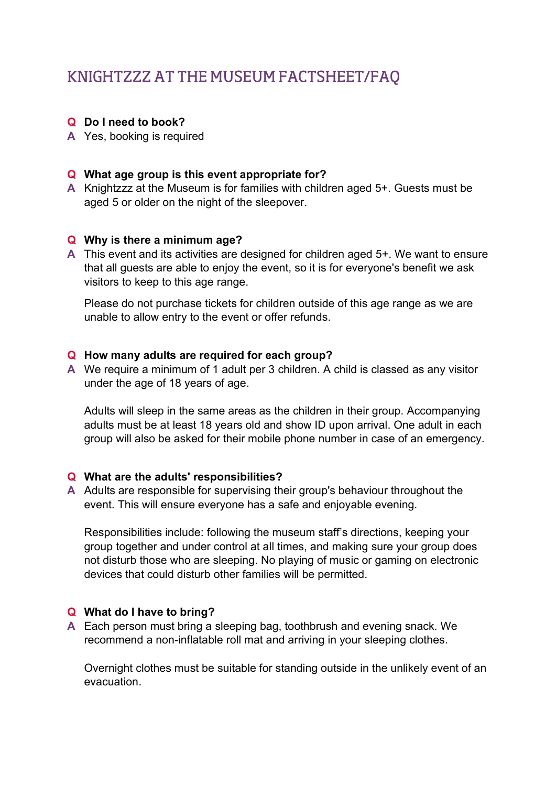# KNIGHTZZZ AT THE MUSEUM FACTSHEET/FAQ

#### Q Do I need to book?

A Yes, booking is required

## Q What age group is this event appropriate for?

A Knightzzz at the Museum is for families with children aged 5+. Guests must be aged 5 or older on the night of the sleepover.

## Q Why is there a minimum age?

A This event and its activities are designed for children aged 5+. We want to ensure that all guests are able to enjoy the event, so it is for everyone's benefit we ask visitors to keep to this age range.

Please do not purchase tickets for children outside of this age range as we are unable to allow entry to the event or offer refunds.

#### Q How many adults are required for each group?

A We require a minimum of 1 adult per 3 children. A child is classed as any visitor under the age of 18 years of age.

Adults will sleep in the same areas as the children in their group. Accompanying adults must be at least 18 years old and show ID upon arrival. One adult in each group will also be asked for their mobile phone number in case of an emergency.

#### Q What are the adults' responsibilities?

A Adults are responsible for supervising their group's behaviour throughout the event. This will ensure everyone has a safe and enjoyable evening.

Responsibilities include: following the museum staff's directions, keeping your group together and under control at all times, and making sure your group does not disturb those who are sleeping. No playing of music or gaming on electronic devices that could disturb other families will be permitted.

#### Q What do I have to bring?

A Each person must bring a sleeping bag, toothbrush and evening snack. We recommend a non-inflatable roll mat and arriving in your sleeping clothes.

Overnight clothes must be suitable for standing outside in the unlikely event of an evacuation.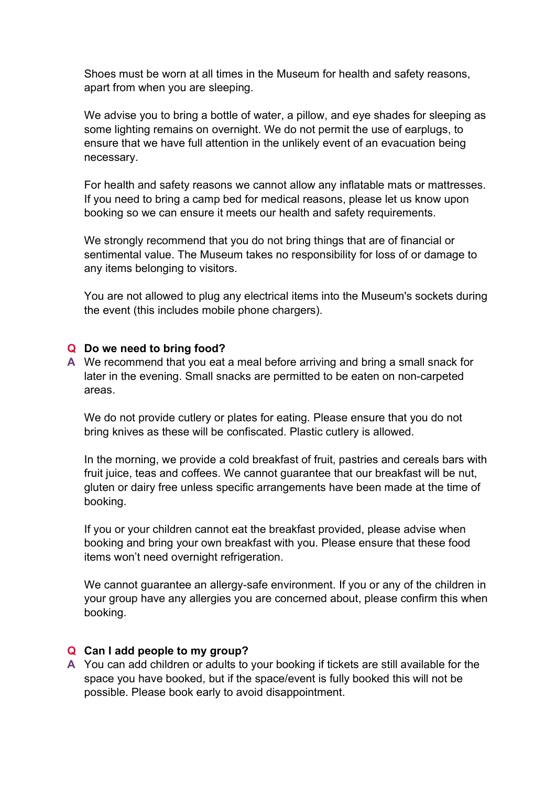Shoes must be worn at all times in the Museum for health and safety reasons, apart from when you are sleeping.

We advise you to bring a bottle of water, a pillow, and eye shades for sleeping as some lighting remains on overnight. We do not permit the use of earplugs, to ensure that we have full attention in the unlikely event of an evacuation being necessary.

For health and safety reasons we cannot allow any inflatable mats or mattresses. If you need to bring a camp bed for medical reasons, please let us know upon booking so we can ensure it meets our health and safety requirements.

We strongly recommend that you do not bring things that are of financial or sentimental value. The Museum takes no responsibility for loss of or damage to any items belonging to visitors.

You are not allowed to plug any electrical items into the Museum's sockets during the event (this includes mobile phone chargers).

#### Q Do we need to bring food?

A We recommend that you eat a meal before arriving and bring a small snack for later in the evening. Small snacks are permitted to be eaten on non-carpeted areas.

We do not provide cutlery or plates for eating. Please ensure that you do not bring knives as these will be confiscated. Plastic cutlery is allowed.

In the morning, we provide a cold breakfast of fruit, pastries and cereals bars with fruit juice, teas and coffees. We cannot guarantee that our breakfast will be nut, gluten or dairy free unless specific arrangements have been made at the time of booking.

If you or your children cannot eat the breakfast provided, please advise when booking and bring your own breakfast with you. Please ensure that these food items won't need overnight refrigeration.

We cannot guarantee an allergy-safe environment. If you or any of the children in your group have any allergies you are concerned about, please confirm this when booking.

#### Q Can I add people to my group?

A You can add children or adults to your booking if tickets are still available for the space you have booked, but if the space/event is fully booked this will not be possible. Please book early to avoid disappointment.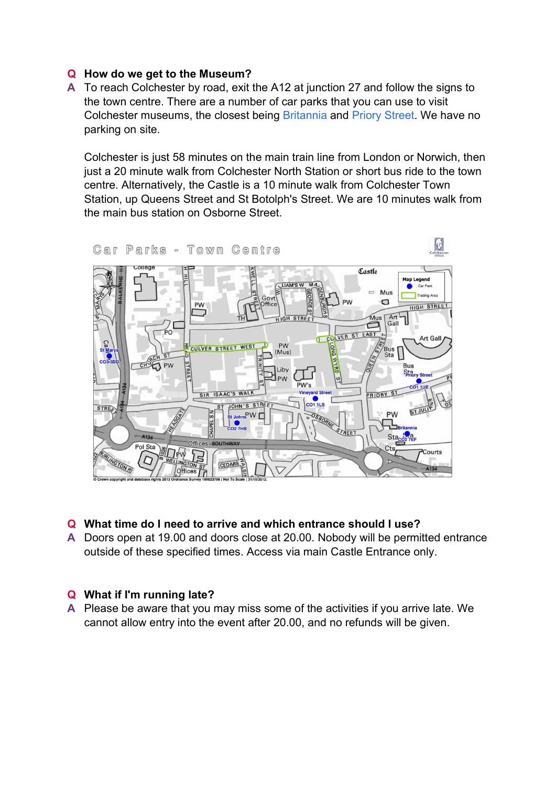# Q How do we get to the Museum?

A To reach Colchester by road, exit the A12 at junction 27 and follow the signs to the town centre. There are a number of car parks that you can use to visit Colchester museums, the closest being Britannia and Priory Street. We have no parking on site.

Colchester is just 58 minutes on the main train line from London or Norwich, then just a 20 minute walk from Colchester North Station or short bus ride to the town centre. Alternatively, the Castle is a 10 minute walk from Colchester Town Station, up Queens Street and St Botolph's Street. We are 10 minutes walk from the main bus station on Osborne Street.



#### Q What time do I need to arrive and which entrance should I use?

A Doors open at 19.00 and doors close at 20.00. Nobody will be permitted entrance outside of these specified times. Access via main Castle Entrance only.

# Q What if I'm running late?

A Please be aware that you may miss some of the activities if you arrive late. We cannot allow entry into the event after 20.00, and no refunds will be given.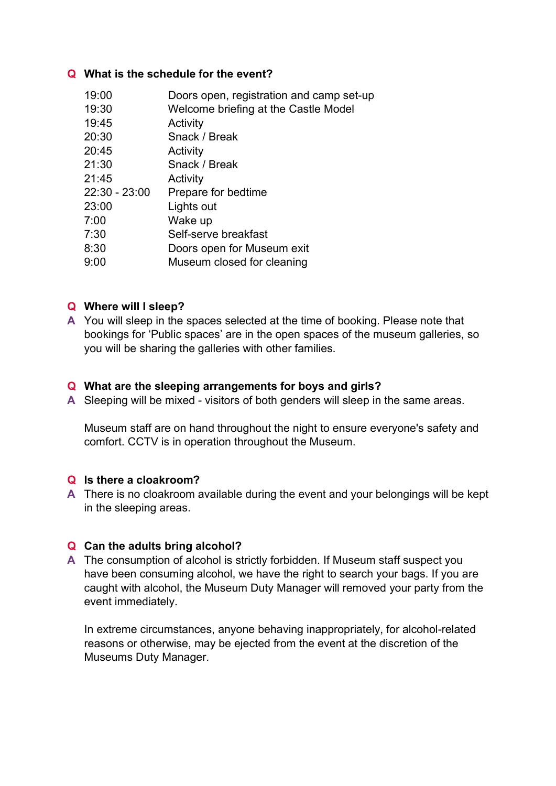## Q What is the schedule for the event?

| 19:00           | Doors open, registration and camp set-up |
|-----------------|------------------------------------------|
| 19:30           | Welcome briefing at the Castle Model     |
| 19:45           | Activity                                 |
| 20:30           | Snack / Break                            |
| 20:45           | Activity                                 |
| 21:30           | Snack / Break                            |
| 21:45           | Activity                                 |
| $22:30 - 23:00$ | Prepare for bedtime                      |
| 23:00           | Lights out                               |
| 7:00            | Wake up                                  |
| 7:30            | Self-serve breakfast                     |
| 8:30            | Doors open for Museum exit               |
| 9:00            | Museum closed for cleaning               |

# Q Where will I sleep?

A You will sleep in the spaces selected at the time of booking. Please note that bookings for 'Public spaces' are in the open spaces of the museum galleries, so you will be sharing the galleries with other families.

#### Q What are the sleeping arrangements for boys and girls?

A Sleeping will be mixed - visitors of both genders will sleep in the same areas.

Museum staff are on hand throughout the night to ensure everyone's safety and comfort. CCTV is in operation throughout the Museum.

#### Q Is there a cloakroom?

A There is no cloakroom available during the event and your belongings will be kept in the sleeping areas.

#### Q Can the adults bring alcohol?

A The consumption of alcohol is strictly forbidden. If Museum staff suspect you have been consuming alcohol, we have the right to search your bags. If you are caught with alcohol, the Museum Duty Manager will removed your party from the event immediately.

In extreme circumstances, anyone behaving inappropriately, for alcohol-related reasons or otherwise, may be ejected from the event at the discretion of the Museums Duty Manager.